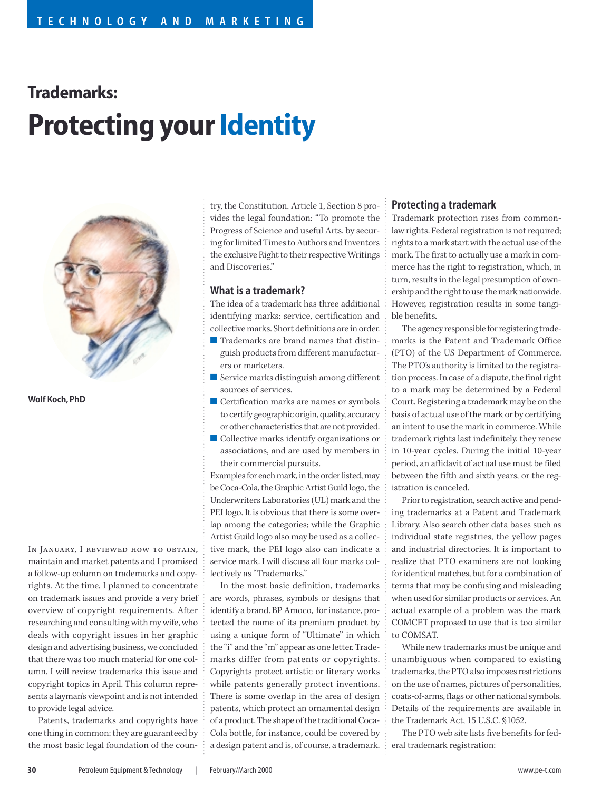# **Trademarks: Protecting your Identity**



**Wolf Koch, PhD**

In January, I reviewed how to obtain, maintain and market patents and I promised a follow-up column on trademarks and copyrights. At the time, I planned to concentrate on trademark issues and provide a very brief overview of copyright requirements. After researching and consulting with my wife, who deals with copyright issues in her graphic design and advertising business, we concluded that there was too much material for one column. I will review trademarks this issue and copyright topics in April. This column represents a layman's viewpoint and is not intended to provide legal advice.

Patents, trademarks and copyrights have one thing in common: they are guaranteed by the most basic legal foundation of the country, the Constitution. Article 1, Section 8 provides the legal foundation: "To promote the Progress of Science and useful Arts, by securing for limited Times to Authors and Inventors the exclusive Right to their respective Writings and Discoveries."

#### **What is a trademark?**

The idea of a trademark has three additional identifying marks: service, certification and collective marks. Short definitions are in order.

- Trademarks are brand names that distinguish products from different manufacturers or marketers.
- Service marks distinguish among different sources of services.
- Certification marks are names or symbols to certify geographic origin, quality, accuracy or other characteristics that are not provided.
- Collective marks identify organizations or associations, and are used by members in their commercial pursuits.

Examples for each mark, in the order listed, may be Coca-Cola, the Graphic Artist Guild logo, the Underwriters Laboratories (UL) mark and the PEI logo. It is obvious that there is some overlap among the categories; while the Graphic Artist Guild logo also may be used as a collective mark, the PEI logo also can indicate a service mark. I will discuss all four marks collectively as "Trademarks."

In the most basic definition, trademarks are words, phrases, symbols or designs that identify a brand. BP Amoco, for instance, protected the name of its premium product by using a unique form of "Ultimate" in which the "i" and the "m" appear as one letter. Trademarks differ from patents or copyrights. Copyrights protect artistic or literary works while patents generally protect inventions. There is some overlap in the area of design patents, which protect an ornamental design of a product. The shape of the traditional Coca-Cola bottle, for instance, could be covered by a design patent and is, of course, a trademark.

#### **Protecting a trademark**

Trademark protection rises from commonlaw rights. Federal registration is not required; rights to a mark start with the actual use of the mark. The first to actually use a mark in commerce has the right to registration, which, in turn, results in the legal presumption of ownership and the right to use the mark nationwide. However, registration results in some tangible benefits.

The agency responsible for registering trademarks is the Patent and Trademark Office (PTO) of the US Department of Commerce. The PTO's authority is limited to the registration process. In case of a dispute, the final right to a mark may be determined by a Federal Court. Registering a trademark may be on the basis of actual use of the mark or by certifying an intent to use the mark in commerce. While trademark rights last indefinitely, they renew in 10-year cycles. During the initial 10-year period, an affidavit of actual use must be filed between the fifth and sixth years, or the registration is canceled.

Prior to registration, search active and pending trademarks at a Patent and Trademark Library. Also search other data bases such as individual state registries, the yellow pages and industrial directories. It is important to realize that PTO examiners are not looking for identical matches, but for a combination of terms that may be confusing and misleading when used for similar products or services. An actual example of a problem was the mark COMCET proposed to use that is too similar to COMSAT.

While new trademarks must be unique and unambiguous when compared to existing trademarks, the PTO also imposes restrictions on the use of names, pictures of personalities, coats-of-arms, flags or other national symbols. Details of the requirements are available in the Trademark Act, 15 U.S.C. §1052.

The PTO web site lists five benefits for federal trademark registration: